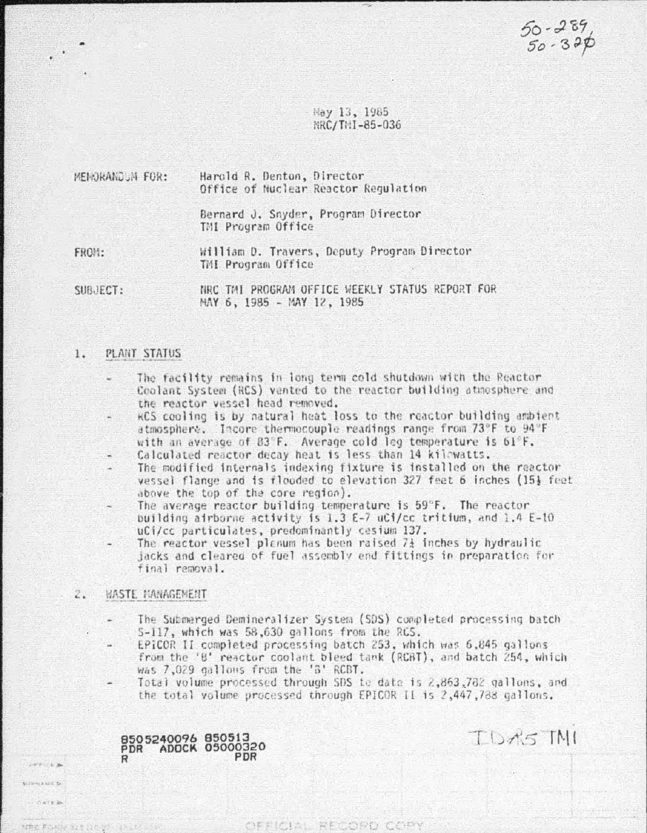$50 - 289$ <br> $50 - 390$ 

TUMS TNI

Hay 13, 1985 NRC/TNI-85-036

| MEMORANDUM FOR: | Harold R. Denton, Director<br>Office of Nuclear Reactor Regulation |  |  |  |  |  |  |  |
|-----------------|--------------------------------------------------------------------|--|--|--|--|--|--|--|
|                 | Bernard J. Snyder, Program Director<br>TMI Program Office          |  |  |  |  |  |  |  |
| $FUD++$         | William D. Travers. Deputy Program Director                        |  |  |  |  |  |  |  |

TMI Program Office

SUBJECT:

NRC TMI PROGRAM OFFICE WEEKLY STATUS REPORT FOR MAY 6, 1985 - MAY 12, 1985

### $1.$ PLANT STATUS

- The facility remains in long term cold shutdown with the Reactor Coolant System (RCS) vanted to the reactor building atmosphere and the reactor vessel head removed.
- RCS cooling is by natural heat loss to the reactor building ambient atmosphere. Incore thermocouple readings range from 73°F to 94°F with an average of 83°F. Average cold leg temperature is 61°F.
- Calculated reactor decay heat is less than 14 kilowatts.
- The modified internals indexing fixture is installed on the reactor vessel flange and is flooded to elevation 327 feat 6 inches (15) feat above the top of the core region).
- The average reactor building temperature is 59°F. The reactor building airborne activity is 1.3 E-7 uCi/cc tritium, and 1.4 E-10 uCi/cc particulates, predominantly cesium 137.
- The reactor vessel planum has been raised 71 inches by hydraulic jacks and cleared of fuel assembly end fittings in preparation for final removal.

## 2. WASTE MANAGEMENT

ezura a COMBIN 20  $7.4792$ 

week to all

- The Submerged Demineralizer System (SDS) completed processing batch 5-117, which was 58,630 gallons from the RGS.
	- EPICOR II completed processing batch 253, which was 6,845 gallons from the '8' reactor coolant bleed tank (RCBT), and batch 254, which was 7,029 gallous from the 'B' RCBT.
- Total volume processed through SDS to date is 2,863,782 gallons, and the total volume processed through EPICOR II is 2,447,788 gallons.

OFFICIAL RECORD COPY

8505240096 850513<br>PDR ADOCK 05000320 PDR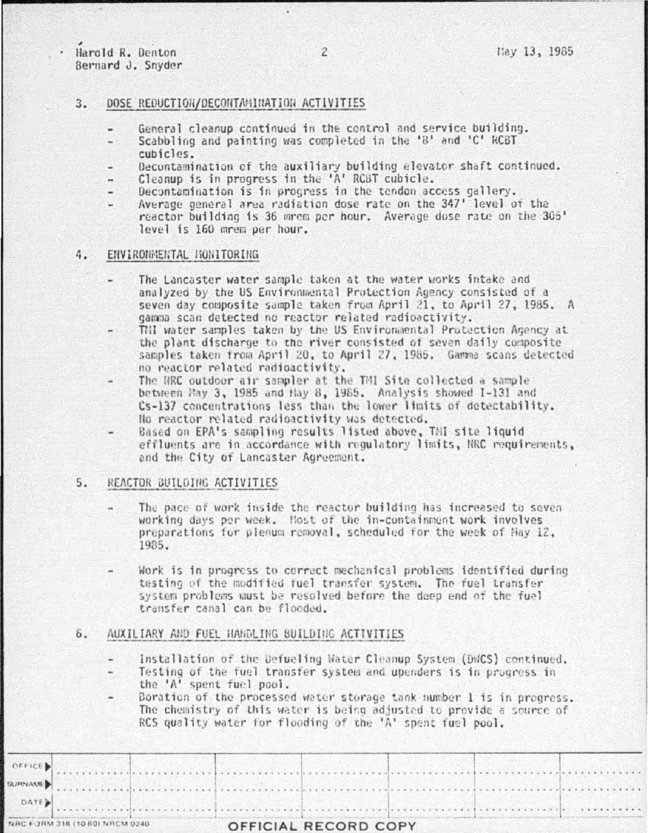Harold R. Denton Bernard J. Snyder

 $\ddotsc$  $\overline{\phantom{a}}$ 

## $3.$ DOSE REDUCTION/DECONTAMINATION ACTIVITIES

- General cleanup continued in the control and service building.
- Scabbling and painting was completed in the '8' and 'C' RCBT cubicles.
- Decontamination of the auxiliary building elevator shaft continued.
- Cleanup is in progress in the 'A' RCBT cubicle.
- Decontamination is in progress in the tendon access gallery.
- Average general area radiation dose rate on the 347' level of the reactor building is 36 mrem per hour. Average dose rate on the 305' level is 160 mrem per hour.

## ENVIRONMENTAL HONITORING 4.

- The Lancaster water sample taken at the water works intake and analyzed by the US Environmental Protection Agency consisted of a seven day composite sample taken from April 21, to April 27, 1985. A gamma scan detected no reactor related radioactivity.
- THI water samples taken by the US Environmental Protection Agency at the plant discharge to the river consisted of seven daily composite samples taken from April 20, to April 27, 1985. Gamma scans detected no reactor related radioactivity.
- The NRC outdoor air sampler at the TMI Site collected a sample between May 3, 1985 and Hay 8, 1985. Analysis showed I-131 and Cs-137 concentrations less than the lower limits of detectability. No reactor related radioactivity was detected.
- Based on EPA's sampling results listed above, TMI site liquid effluents are in accordance with regulatory limits, NRC requirements. and the City of Lancaster Agreement.

# $5.$ REACTOR BUILDING ACTIVITIES

- The pace of work inside the reactor building has increased to seven working days per week. Most of the in-containment work involves preparations for plenum removal, scheduled for the week of Hay 12, 1935.
- Work is in progress to correct mechanical problems identified during testing of the modified fuel transfer system. The fuel transfer system problems must be resolved before the deep end of the fuel transfer canal can be flooded.

## 6. AUXILIARY AND FUEL HANDLING BUILDING ACTIVITIES

- Installation of the Defueling Water Cleanup System (DMCS) continued.
- Testing of the fuel transfer system and upenders is in progress in the 'A' spent fuel pool.
- Boration of the processed water storage tank number 1 is in progress. The chemistry of this water is being adjusted to provide a source of RCS quality water for flooding of the 'A' spent fuel pool.

| VRC FORM 318 (10 80) NRCM 0240 |  |  |  | OFFICIAL RECORD COPY |  |  |  |
|--------------------------------|--|--|--|----------------------|--|--|--|
|                                |  |  |  |                      |  |  |  |
| DATE <sub>P</sub>              |  |  |  |                      |  |  |  |
| URNAME                         |  |  |  |                      |  |  |  |
| <b>OFFICE</b>                  |  |  |  |                      |  |  |  |
|                                |  |  |  |                      |  |  |  |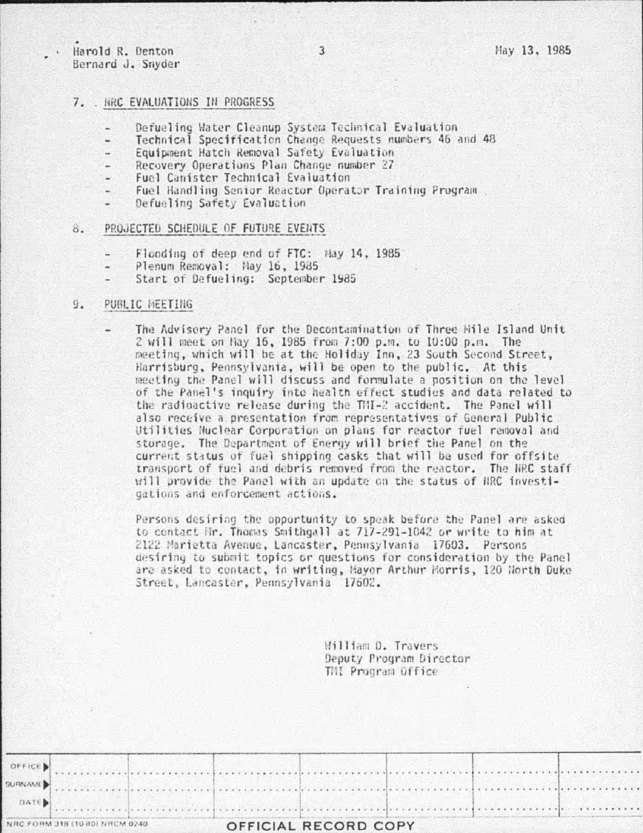Harold R. Denton Bernard J. Snyder

### $7.$ . NRC EVALUATIONS IN PROGRESS

- Defueling Water Cleanup System Technical Evaluation
- Technical Specification Change Requests numbers 46 and 48
- Equipment Hatch Removal Safety Evaluation
- Recovery Operations Plan Change number 27
- Fuel Canister Technical Evaluation
- Fuel Handling Senior Reactor Operator Training Program
- Defueling Safety Evaluation

### PROJECTED SCHEDULE OF FUTURE EVENTS  $R -$

- Flooding of deep end of FTC: May 14, 1985
- Plenum Removal: Hay 16, 1985
- Start of Defueling: September 1985

### $9.$ PUBLIC MEETING

The Advisory Panel for the Decontamination of Three Mile Island Unit 2 will meet on hay 16, 1985 from 7:00 p.m. to 10:00 p.m. The meeting, which will be at the Holiday Inn, 23 South Second Street, Harrisburg, Pennsylvania, will be open to the public. At this meeting the Panel will discuss and formulate a position on the level of the Panel's inquiry into health effect studies and data related to the radioactive release during the THI-2 accident. The Panel will also receive a presentation from representatives of General Public Utilities Nuclear Corporation on plans for reactor fuel removal and storage. The Department of Energy will brief the Panel on the current status of fuel shipping casks that will be used for offsite transport of fuel and debris removed from the reactor. The NRC staff will provide the Panel with an update on the status of NRC investigations and enforcement actions.

Persons desiring the opportunity to speak before the Panel are asked to contact Hr. Thomas Smithgall at 717-291-1042 or write to him at 2122 Marietta Avenue, Lancaster, Pennsylvania 17603. Persons desiring to submit topics or questions for consideration by the Panel are asked to contact, in writing, Mayor Arthur Morris, 120 North Duke Street, Lancaster, Pennsylvania 17602.

> William D. Travers Deputy Program Director TMI Program Office

OFFICE SURNAME<sup>B</sup> . . . . . . . . . . . **DATE** NRC FORM 318 (10 80) NRCM 0240 OFFICIAL RECORD COPY